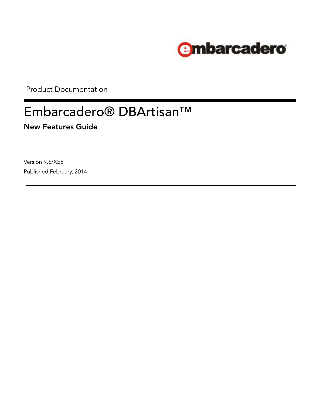

Product Documentation

# Embarcadero® DBArtisan™

**New Features Guide**

Version 9.6/XE5 Published February, 2014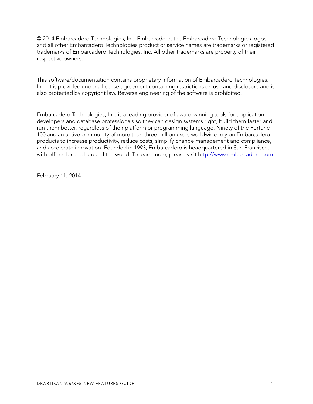© 2014 Embarcadero Technologies, Inc. Embarcadero, the Embarcadero Technologies logos, and all other Embarcadero Technologies product or service names are trademarks or registered trademarks of Embarcadero Technologies, Inc. All other trademarks are property of their respective owners.

This software/documentation contains proprietary information of Embarcadero Technologies, Inc.; it is provided under a license agreement containing restrictions on use and disclosure and is also protected by copyright law. Reverse engineering of the software is prohibited.

Embarcadero Technologies, Inc. is a leading provider of award-winning tools for application developers and database professionals so they can design systems right, build them faster and run them better, regardless of their platform or programming language. Ninety of the Fortune 100 and an active community of more than three million users worldwide rely on Embarcadero products to increase productivity, reduce costs, simplify change management and compliance, and accelerate innovation. Founded in 1993, Embarcadero is headquartered in San Francisco, with offices located around the world. To learn more, please visit h[ttp://www.embarcadero.com](http://www.embarcadero.com).

February 11, 2014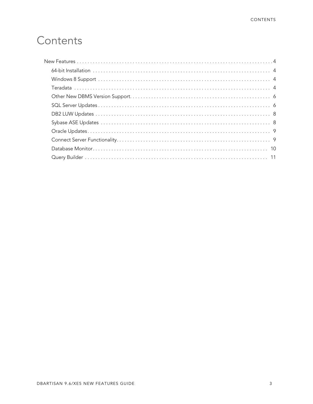## Contents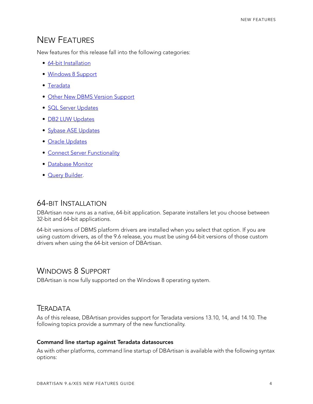## <span id="page-3-0"></span>NEW FEATURES

New features for this release fall into the following categories:

- [64-bit Installation](#page-3-1)
- [Windows 8 Support](#page-3-2)
- [Teradata](#page-3-3)
- [Other New DBMS Version Support](#page-5-0)
- [SQL Server Updates](#page-5-1)
- [DB2 LUW Updates](#page-7-0)
- [Sybase ASE Updates](#page-7-1)
- [Oracle Updates](#page-8-0)
- [Connect Server Functionality](#page-8-1)
- [Database Monitor](#page-9-0)
- [Query Builder](#page-10-0).

## <span id="page-3-1"></span>64-BIT INSTALLATION

DBArtisan now runs as a native, 64-bit application. Separate installers let you choose between 32-bit and 64-bit applications.

64-bit versions of DBMS platform drivers are installed when you select that option. If you are using custom drivers, as of the 9.6 release, you must be using 64-bit versions of those custom drivers when using the 64-bit version of DBArtisan.

## <span id="page-3-2"></span>WINDOWS 8 SUPPORT

DBArtisan is now fully supported on the Windows 8 operating system.

## <span id="page-3-3"></span>TERADATA

As of this release, DBArtisan provides support for Teradata versions 13.10, 14, and 14.10. The following topics provide a summary of the new functionality.

#### **Command line startup against Teradata datasources**

As with other platforms, command line startup of DBArtisan is available with the following syntax options: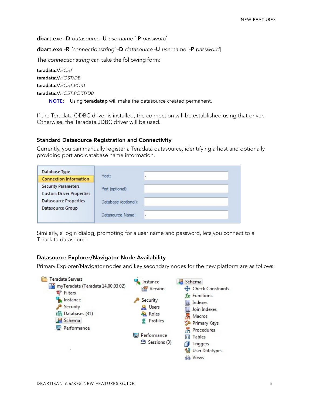**dbart.exe -D** *datasource* **-U** *username* [**-P** *password*]

**dbart.exe -R** *'connectionstring*' **-D** *datasource* **-U** *username* [**-P** *password*]

The *connectionstring* can take the following form:

**teradata://***HOST* **teradata://***HOST*/*DB* **teradata://***HOST***:***PORT* **teradata://***HOST***:***PORT***/***DB* **NOTE:** Using **teradatap** will make the datasource created permanent.

If the Teradata ODBC driver is installed, the connection will be established using that driver. Otherwise, the Teradata JDBC driver will be used.

#### **Standard Datasource Registration and Connectivity**

Currently, you can manually register a Teradata datasource, identifying a host and optionally providing port and database name information.

| Database Type                   |                      |  |
|---------------------------------|----------------------|--|
| <b>Connection Information</b>   | Host:                |  |
| <b>Security Parameters</b>      | Port (optional):     |  |
| <b>Custom Driver Properties</b> |                      |  |
| <b>Datasource Properties</b>    | Database (optional): |  |
| Datasource Group                |                      |  |
|                                 | Datasource Name:     |  |
|                                 |                      |  |

Similarly, a login dialog, prompting for a user name and password, lets you connect to a Teradata datasource.

#### **Datasource Explorer/Navigator Node Availability**

Primary Explorer/Navigator nodes and key secondary nodes for the new platform are as follows:

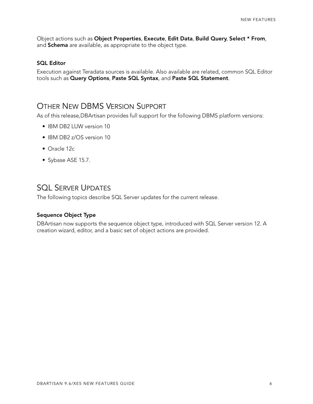Object actions such as **Object Properties**, **Execute**, **Edit Data**, **Build Query**, **Select \* From**, and **Schema** are available, as appropriate to the object type.

#### **SQL Editor**

Execution against Teradata sources is available. Also available are related, common SQL Editor tools such as **Query Options**, **Paste SQL Syntax**, and **Paste SQL Statement**.

## <span id="page-5-0"></span>OTHER NEW DBMS VERSION SUPPORT

As of this release,DBArtisan provides full support for the following DBMS platform versions:

- IBM DB2 LUW version 10
- IBM DB2 z/OS version 10
- Oracle 12c
- Sybase ASE 15.7.

## <span id="page-5-1"></span>SQL SERVER UPDATES

The following topics describe SQL Server updates for the current release.

#### **Sequence Object Type**

DBArtisan now supports the sequence object type, introduced with SQL Server version 12. A creation wizard, editor, and a basic set of object actions are provided.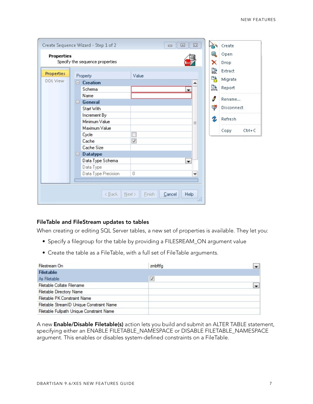|                   |    | Create Sequence Wizard - Step 1 of 2 |                          | 回<br>$\Box$              | $\Sigma$ |   | Create             |
|-------------------|----|--------------------------------------|--------------------------|--------------------------|----------|---|--------------------|
| <b>Properties</b> |    |                                      |                          |                          |          | Θ | Open               |
|                   |    | Specify the sequence properties      |                          |                          |          | × | Drop               |
| Properties        |    |                                      |                          |                          |          | 먎 | Extract            |
| DDL View          |    | Property                             | Value                    |                          |          | 먭 | Migrate            |
|                   | E. | <b>Creation</b>                      |                          |                          |          |   |                    |
|                   |    | Schema                               |                          | $\overline{\phantom{a}}$ |          | 縣 | Report             |
|                   |    | Name                                 |                          |                          |          | I | Rename             |
|                   | E. | <b>General</b>                       |                          |                          |          |   |                    |
|                   |    | Start With                           |                          |                          |          | ₹ | Disconnect         |
|                   |    | Increment By                         |                          |                          |          | Ż |                    |
|                   |    | Minimum Value                        |                          |                          | 亖        |   | Refresh            |
|                   |    | Maximum Value                        |                          |                          |          |   | $Ctrl + C$<br>Copy |
|                   |    | Cycle                                | $\Box$                   |                          |          |   |                    |
|                   |    | Cache                                | $\overline{\mathcal{J}}$ |                          |          |   |                    |
|                   |    | Cache Size                           |                          |                          |          |   |                    |
|                   | Θ. | <b>Datatype</b>                      |                          |                          |          |   |                    |
|                   |    | Data Type Schema                     |                          | $\blacksquare$           |          |   |                    |
|                   |    | Data Type                            |                          |                          |          |   |                    |
|                   |    | Data Type Precision                  | 0                        |                          | ٠        |   |                    |
|                   |    |                                      |                          |                          |          |   |                    |
|                   |    | < <u>B</u> ack                       | Einish<br>Next           | Help<br>Cancel           |          |   |                    |

#### **FileTable and FileStream updates to tables**

When creating or editing SQL Server tables, a new set of properties is available. They let you:

- Specify a filegroup for the table by providing a FILESREAM\_ON argument value
- Create the table as a FileTable, with a full set of FileTable arguments.

| Filestream On                             | zmbftfg      |  |
|-------------------------------------------|--------------|--|
| <b>Filetable</b>                          |              |  |
| As Filetable                              | $\checkmark$ |  |
| Filetable Collate Filename                |              |  |
| <b>Filetable Directory Name</b>           |              |  |
| Filetable PK Constraint Name              |              |  |
| Filetable StreamID Unique Constraint Name |              |  |
| Filetable Fullpath Unique Constraint Name |              |  |

A new **Enable/Disable Filetable(s)** action lets you build and submit an ALTER TABLE statement, specifying either an ENABLE FILETABLE\_NAMESPACE or DISABLE FILETABLE\_NAMESPACE argument. This enables or disables system-defined constraints on a FileTable.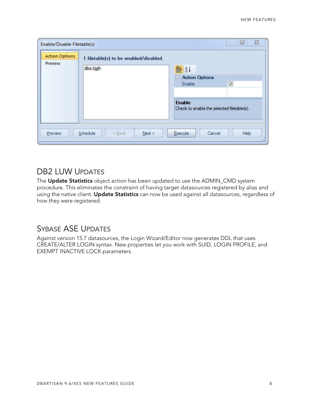| Enable/Disable Filetable(s)      |                                                    | $\Sigma$<br>回<br>$\sim$                                                                        |
|----------------------------------|----------------------------------------------------|------------------------------------------------------------------------------------------------|
| <b>Action Options</b><br>Preview | 1 filetable(s) to be enabled/disabled.<br>dbo.kjgh | ■ 2↓<br>Action Options<br>$\blacktriangledown$<br>Enable                                       |
| Preview                          | Schedule<br>$<$ Back<br>Next >                     | <b>Enable</b><br>Check to enable the selected filetable(s).<br>Help<br>Execute<br>Cancel<br>42 |

## <span id="page-7-0"></span>DB2 LUW UPDATES

The **Update Statistics** object action has been updated to use the ADMIN\_CMD system procedure. This eliminates the constraint of having target datasources registered by alias and using the native client. **Update Statistics** can now be used against all datasources, regardless of how they were registered.

## <span id="page-7-1"></span>SYBASE ASE UPDATES

Against version 15.7 datasources, the Login Wizard/Editor now generates DDL that uses CREATE/ALTER LOGIN syntax. New properties let you work with SUID, LOGIN PROFILE, and EXEMPT INACTIVE LOCK parameters.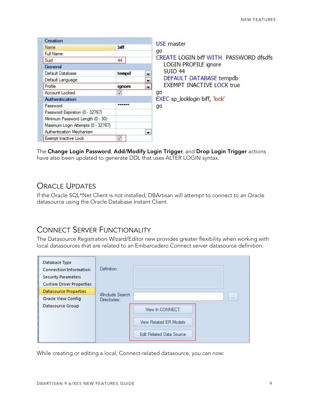|        | Creation                           |              |                          | USE master                             |
|--------|------------------------------------|--------------|--------------------------|----------------------------------------|
|        | Name                               | biff         |                          |                                        |
|        | Full Name                          |              |                          | go                                     |
|        | Suid                               | 44           |                          | CREATE LOGIN biff WITH PASSWORD dfsdfs |
| E.     | General                            |              |                          | <b>LOGIN PROFILE ignore</b>            |
|        | Default Database                   | tempd        | $\overline{\phantom{0}}$ | <b>SUID 44</b>                         |
|        | Default Language                   |              | $\overline{\phantom{a}}$ | DEFAULT DATABASE tempdb                |
|        | Profile                            | ignore       | $\overline{\phantom{a}}$ | <b>EXEMPT INACTIVE LOCK true</b>       |
|        | Account Locked                     | $\sqrt{}$    |                          | go                                     |
| $\Box$ | Authentication                     |              |                          | EXEC sp_locklogin biff, 'lock'         |
|        | Password                           | ******       |                          | go                                     |
|        | Password Expiration (0 - 32767)    |              |                          |                                        |
|        | Minimum Password Length (0 - 30)   |              |                          |                                        |
|        | Maximum Login Attempts (0 - 32767) |              |                          |                                        |
|        | Authentication Mechanism           |              | $\cdot$                  |                                        |
|        | Exempt Inactive Lock               | $\checkmark$ |                          |                                        |

The **Change Login Password**, **Add/Modify Login Trigger**, and **Drop Login Trigger** actions have also been updated to generate DDL that uses ALTER LOGIN syntax.

## <span id="page-8-0"></span>ORACLE UPDATES

If the Oracle SQL\*Net Client is not installed, DBArtisan will attempt to connect to an Oracle datasource using the Oracle Database Instant Client.

## <span id="page-8-1"></span>CONNECT SERVER FUNCTIONALITY

The Datasource Registration WIzard/Editor new provides greater flexibility when working with local datasources that are related to an Embarcadero Connect server datasource definition.

| Database Type<br><b>Connection Information</b> | Definition:                     |
|------------------------------------------------|---------------------------------|
| <b>Security Parameters</b>                     |                                 |
| <b>Custom Driver Properties</b>                |                                 |
| <b>Datasource Properties</b>                   | #Include Search                 |
| Oracle View Config                             | <br>Directories:                |
| Datasource Group                               | View In CONNECT                 |
|                                                | <b>View Related ER Models</b>   |
|                                                | <b>Edit Related Data Source</b> |

While creating or editing a local, Connect-related datasource, you can now: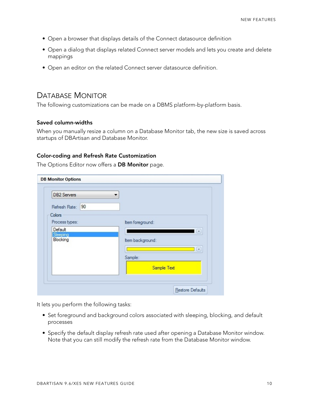- Open a browser that displays details of the Connect datasource definition
- Open a dialog that displays related Connect server models and lets you create and delete mappings
- Open an editor on the related Connect server datasource definition.

### <span id="page-9-0"></span>DATABASE MONITOR

The following customizations can be made on a DBMS platform-by-platform basis.

#### **Saved column-widths**

When you manually resize a column on a Database Monitor tab, the new size is saved across startups of DBArtisan and Database Monitor.

#### **Color-coding and Refresh Rate Customization**

The Options Editor now offers a **DB Monitor** page.

| <b>DB2</b> Servers   |                         |
|----------------------|-------------------------|
| Refresh Rate: 90     |                         |
| <b>Colors</b>        |                         |
| Process types:       | Item foreground:        |
| Default              | $\vert \tau \vert$      |
| Sleeping<br>Blocking | Item background:        |
|                      |                         |
|                      | $\overline{\mathbf{v}}$ |
|                      | Sample:                 |
|                      | Sample Text             |
|                      |                         |

It lets you perform the following tasks:

- Set foreground and background colors associated with sleeping, blocking, and default processes
- Specify the default display refresh rate used after opening a Database Monitor window. Note that you can still modify the refresh rate from the Database Monitor window.